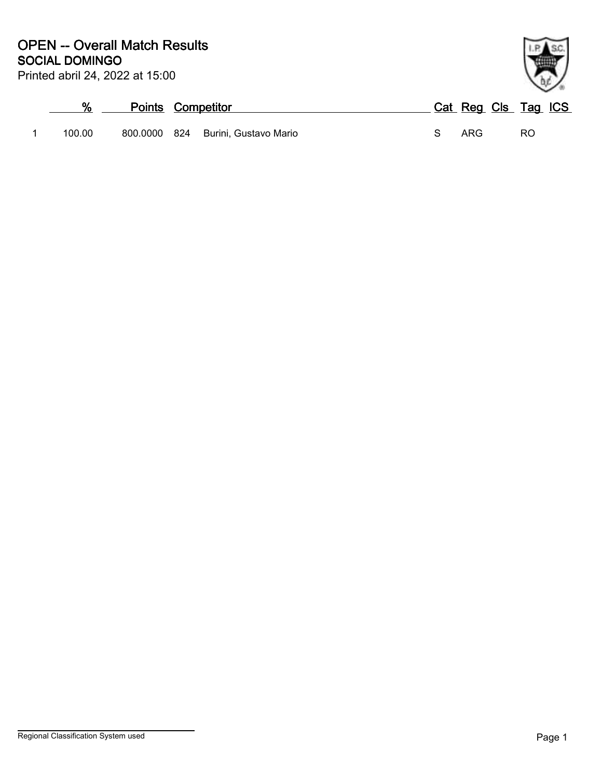| Printed abril 24, 2022 at 15:00 |  |  |  |  |
|---------------------------------|--|--|--|--|
|---------------------------------|--|--|--|--|

|        | <b>Points Competitor</b> |                                    | Cat Reg Cls Tag ICS |     |  |
|--------|--------------------------|------------------------------------|---------------------|-----|--|
| 100.00 |                          | 800.0000 824 Burini, Gustavo Mario | ARG                 | RO. |  |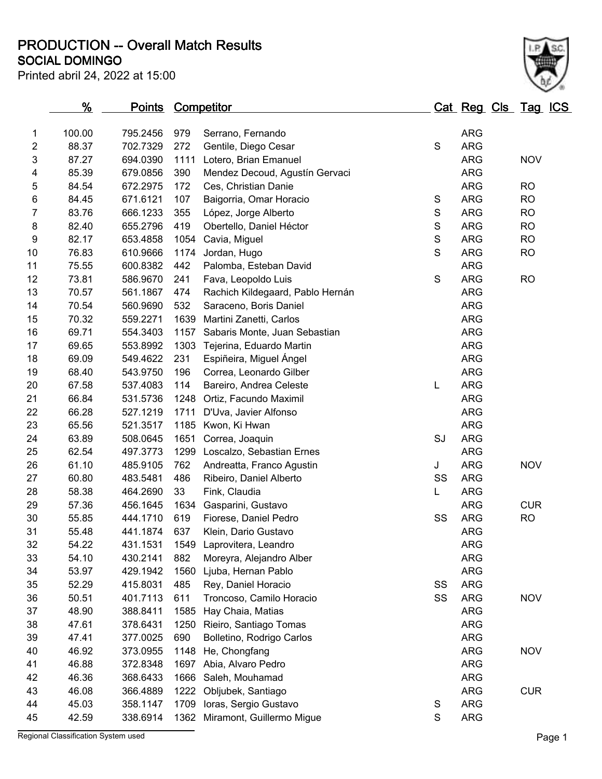**SOCIAL DOMINGO PRODUCTION -- Overall Match Results**

| Printed abril 24, 2022 at 15:00 |  |  |
|---------------------------------|--|--|
|---------------------------------|--|--|

|                | $\frac{9}{6}$ | Points Competitor |      |                                  |               | Cat Reg Cls Tag ICS |            |  |
|----------------|---------------|-------------------|------|----------------------------------|---------------|---------------------|------------|--|
| 1              | 100.00        | 795.2456          | 979  | Serrano, Fernando                |               | <b>ARG</b>          |            |  |
| $\overline{2}$ | 88.37         | 702.7329          | 272  | Gentile, Diego Cesar             | $\mathsf S$   | <b>ARG</b>          |            |  |
| $\mathsf 3$    | 87.27         | 694.0390          | 1111 | Lotero, Brian Emanuel            |               | <b>ARG</b>          | <b>NOV</b> |  |
| 4              | 85.39         | 679.0856          | 390  | Mendez Decoud, Agustín Gervaci   |               | <b>ARG</b>          |            |  |
| 5              | 84.54         | 672.2975          | 172  | Ces, Christian Danie             |               | <b>ARG</b>          | <b>RO</b>  |  |
| 6              | 84.45         | 671.6121          | 107  | Baigorria, Omar Horacio          | $\mathbb S$   | <b>ARG</b>          | <b>RO</b>  |  |
| $\overline{7}$ | 83.76         | 666.1233          | 355  | López, Jorge Alberto             | ${\mathsf S}$ | <b>ARG</b>          | <b>RO</b>  |  |
| 8              | 82.40         | 655.2796          | 419  | Obertello, Daniel Héctor         | ${\mathsf S}$ | <b>ARG</b>          | <b>RO</b>  |  |
| 9              | 82.17         | 653.4858          | 1054 | Cavia, Miguel                    | $\mathbf S$   | <b>ARG</b>          | <b>RO</b>  |  |
| 10             | 76.83         | 610.9666          | 1174 | Jordan, Hugo                     | S             | <b>ARG</b>          | <b>RO</b>  |  |
| 11             | 75.55         | 600.8382          | 442  | Palomba, Esteban David           |               | <b>ARG</b>          |            |  |
| 12             | 73.81         | 586.9670          | 241  | Fava, Leopoldo Luis              | $\mathsf S$   | <b>ARG</b>          | <b>RO</b>  |  |
| 13             | 70.57         | 561.1867          | 474  | Rachich Kildegaard, Pablo Hernán |               | <b>ARG</b>          |            |  |
| 14             | 70.54         | 560.9690          | 532  | Saraceno, Boris Daniel           |               | <b>ARG</b>          |            |  |
| 15             | 70.32         | 559.2271          | 1639 | Martini Zanetti, Carlos          |               | <b>ARG</b>          |            |  |
| 16             | 69.71         | 554.3403          | 1157 | Sabaris Monte, Juan Sebastian    |               | <b>ARG</b>          |            |  |
| 17             | 69.65         | 553.8992          | 1303 | Tejerina, Eduardo Martin         |               | <b>ARG</b>          |            |  |
| 18             | 69.09         | 549.4622          | 231  | Espiñeira, Miguel Ángel          |               | <b>ARG</b>          |            |  |
| 19             | 68.40         | 543.9750          | 196  | Correa, Leonardo Gilber          |               | <b>ARG</b>          |            |  |
| 20             | 67.58         | 537.4083          | 114  | Bareiro, Andrea Celeste          | L             | <b>ARG</b>          |            |  |
| 21             | 66.84         | 531.5736          | 1248 | Ortiz, Facundo Maximil           |               | <b>ARG</b>          |            |  |
| 22             | 66.28         | 527.1219          | 1711 | D'Uva, Javier Alfonso            |               | <b>ARG</b>          |            |  |
| 23             | 65.56         | 521.3517          | 1185 | Kwon, Ki Hwan                    |               | <b>ARG</b>          |            |  |
| 24             | 63.89         | 508.0645          | 1651 | Correa, Joaquin                  | SJ            | <b>ARG</b>          |            |  |
| 25             | 62.54         | 497.3773          | 1299 | Loscalzo, Sebastian Ernes        |               | <b>ARG</b>          |            |  |
| 26             | 61.10         | 485.9105          | 762  | Andreatta, Franco Agustin        | J             | <b>ARG</b>          | <b>NOV</b> |  |
| 27             | 60.80         | 483.5481          | 486  | Ribeiro, Daniel Alberto          | SS            | <b>ARG</b>          |            |  |
| 28             | 58.38         | 464.2690          | 33   | Fink, Claudia                    | L             | <b>ARG</b>          |            |  |
| 29             | 57.36         | 456.1645          | 1634 | Gasparini, Gustavo               |               | <b>ARG</b>          | <b>CUR</b> |  |
| 30             | 55.85         | 444.1710          | 619  | Fiorese, Daniel Pedro            | SS            | <b>ARG</b>          | <b>RO</b>  |  |
| 31             | 55.48         | 441.1874          | 637  | Klein, Dario Gustavo             |               | <b>ARG</b>          |            |  |
| 32             | 54.22         | 431.1531          | 1549 | Laprovitera, Leandro             |               | ARG                 |            |  |
| 33             | 54.10         | 430.2141          | 882  | Moreyra, Alejandro Alber         |               | <b>ARG</b>          |            |  |
| 34             | 53.97         | 429.1942          | 1560 | Ljuba, Hernan Pablo              |               | <b>ARG</b>          |            |  |
| 35             | 52.29         | 415.8031          | 485  | Rey, Daniel Horacio              | SS            | <b>ARG</b>          |            |  |
| 36             | 50.51         | 401.7113          | 611  | Troncoso, Camilo Horacio         | SS            | <b>ARG</b>          | <b>NOV</b> |  |
| 37             | 48.90         | 388.8411          | 1585 | Hay Chaia, Matias                |               | <b>ARG</b>          |            |  |
| 38             | 47.61         | 378.6431          | 1250 | Rieiro, Santiago Tomas           |               | <b>ARG</b>          |            |  |
| 39             | 47.41         | 377.0025          | 690  | Bolletino, Rodrigo Carlos        |               | <b>ARG</b>          |            |  |
| 40             | 46.92         | 373.0955          | 1148 | He, Chongfang                    |               | <b>ARG</b>          | <b>NOV</b> |  |
| 41             | 46.88         | 372.8348          | 1697 | Abia, Alvaro Pedro               |               | <b>ARG</b>          |            |  |
| 42             | 46.36         | 368.6433          | 1666 | Saleh, Mouhamad                  |               | <b>ARG</b>          |            |  |
| 43             | 46.08         | 366.4889          | 1222 | Obljubek, Santiago               |               | <b>ARG</b>          | <b>CUR</b> |  |
| 44             | 45.03         | 358.1147          | 1709 | Ioras, Sergio Gustavo            | S             | <b>ARG</b>          |            |  |
| 45             | 42.59         | 338.6914          | 1362 | Miramont, Guillermo Migue        | $\mathbf S$   | <b>ARG</b>          |            |  |

Regional Classification System used **Page 1**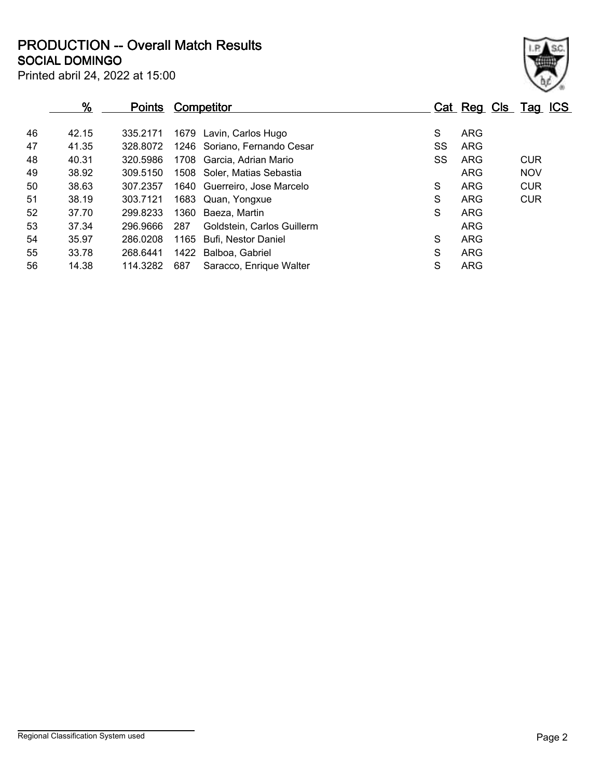**SOCIAL DOMINGO PRODUCTION -- Overall Match Results**

| × |
|---|

| Printed abril 24, 2022 at 15:00 |  |  |  |
|---------------------------------|--|--|--|
|                                 |  |  |  |

|    | $\frac{9}{6}$ | <u>Points</u> | <b>Competitor</b>                 |    | Cat Reg Cls Tag ICS |            |
|----|---------------|---------------|-----------------------------------|----|---------------------|------------|
| 46 | 42.15         | 335.2171      | 1679 Lavin, Carlos Hugo           | S  | <b>ARG</b>          |            |
| 47 | 41.35         | 328.8072      | 1246 Soriano, Fernando Cesar      | SS | <b>ARG</b>          |            |
| 48 | 40.31         | 320.5986      | 1708 Garcia, Adrian Mario         | SS | ARG                 | <b>CUR</b> |
| 49 | 38.92         | 309.5150      | 1508 Soler, Matias Sebastia       |    | <b>ARG</b>          | <b>NOV</b> |
| 50 | 38.63         | 307.2357      | 1640 Guerreiro, Jose Marcelo      | S  | <b>ARG</b>          | <b>CUR</b> |
| 51 | 38.19         | 303.7121      | 1683 Quan, Yongxue                | S  | <b>ARG</b>          | <b>CUR</b> |
| 52 | 37.70         | 299.8233      | 1360 Baeza, Martin                | S  | <b>ARG</b>          |            |
| 53 | 37.34         | 296.9666      | 287<br>Goldstein, Carlos Guillerm |    | <b>ARG</b>          |            |
| 54 | 35.97         | 286.0208      | 1165<br>Bufi, Nestor Daniel       | S  | <b>ARG</b>          |            |
| 55 | 33.78         | 268.6441      | 1422<br>Balboa, Gabriel           | S  | <b>ARG</b>          |            |
| 56 | 14.38         | 114.3282      | 687<br>Saracco, Enrique Walter    | S  | <b>ARG</b>          |            |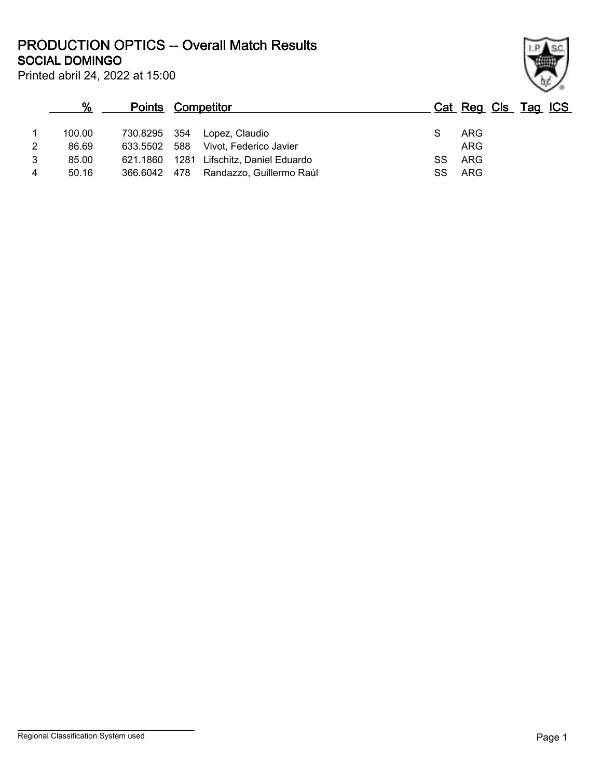**SOCIAL DOMINGO PRODUCTION OPTICS -- Overall Match Results**



| Printed abril 24, 2022 at 15:00 |  |  |  |  |
|---------------------------------|--|--|--|--|
|---------------------------------|--|--|--|--|

### **% Points Competitor Cat Reg Cls Tag ICS** 1 100.00 730.8295 354 Lopez, Claudio S ARG 2 86.69 633.5502 588 Vivot, Federico Javier<br>3 85.00 621.1860 1281 Lifschitz. Daniel Eduardo 3 5S ARG 3 85.00 621.1860 1281 Lifschitz, Daniel Eduardo SS ARG 4 50.16 366.6042 478 Randazzo, Guillermo Raúl SS ARG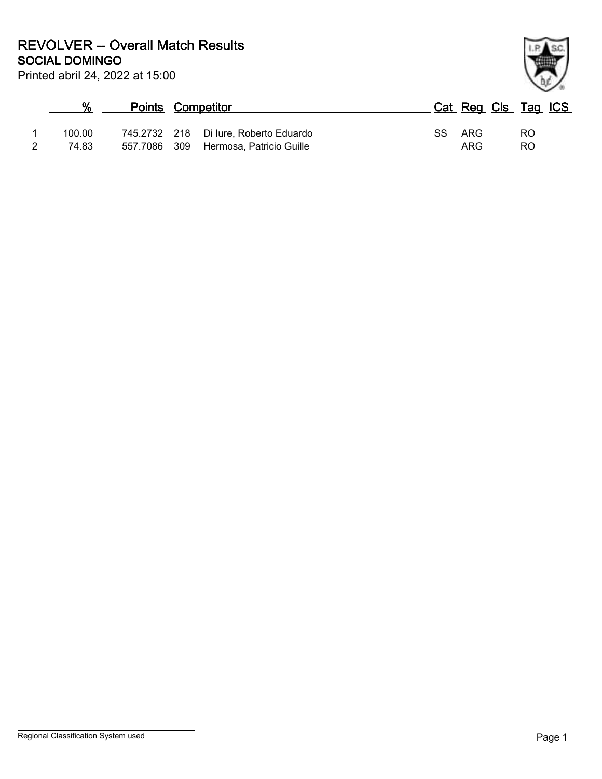**SOCIAL DOMINGO REVOLVER -- Overall Match Results**

|        | Points Competitor |                                       | Cat Reg Cls Tag ICS |     |  |
|--------|-------------------|---------------------------------------|---------------------|-----|--|
| 100.00 |                   | 745.2732 218 Di lure, Roberto Eduardo | SS ARG              | RO. |  |
| 74.83  | 557.7086 309      | Hermosa, Patricio Guille              | ARG                 | RO. |  |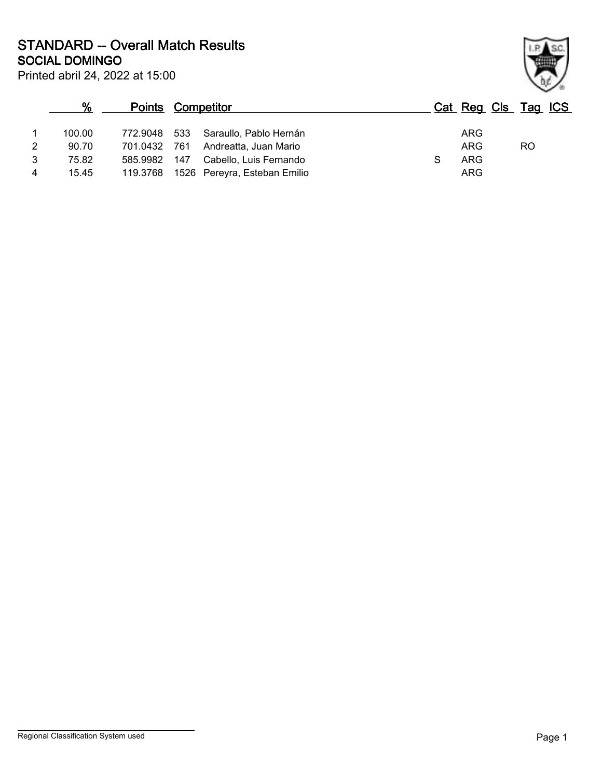**SOCIAL DOMINGO STANDARD -- Overall Match Results**

|                | %      |              | <b>Points Competitor</b> |                                       |  |            | Cat Reg Cls Tag ICS |  |
|----------------|--------|--------------|--------------------------|---------------------------------------|--|------------|---------------------|--|
|                | 100.00 | 772.9048 533 |                          | Saraullo, Pablo Hernán                |  | ARG        |                     |  |
| $\overline{2}$ | 90.70  | 701.0432 761 |                          | Andreatta, Juan Mario                 |  | <b>ARG</b> | RO                  |  |
| 3              | 75.82  | 585.9982 147 |                          | Cabello, Luis Fernando                |  | ARG        |                     |  |
| 4              | 15.45  |              |                          | 119.3768 1526 Pereyra, Esteban Emilio |  | ARG        |                     |  |

Printed abril 24, 2022 at 15:00